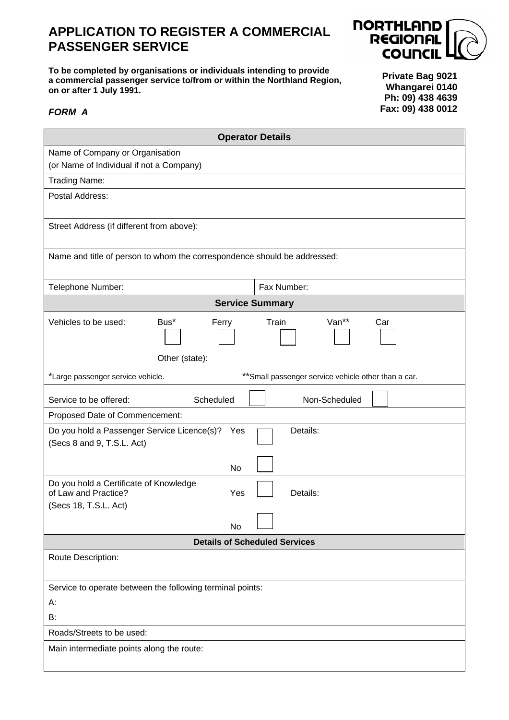## **APPLICATION TO REGISTER A COMMERCIAL PASSENGER SERVICE**





**Private Bag 9021 Whangarei 0140 Ph: 09) 438 4639 Fax: 09) 438 0012**

## *FORM A*

| <b>Operator Details</b>                                                                                    |  |  |  |  |
|------------------------------------------------------------------------------------------------------------|--|--|--|--|
| Name of Company or Organisation                                                                            |  |  |  |  |
| (or Name of Individual if not a Company)                                                                   |  |  |  |  |
| <b>Trading Name:</b>                                                                                       |  |  |  |  |
| Postal Address:                                                                                            |  |  |  |  |
| Street Address (if different from above):                                                                  |  |  |  |  |
| Name and title of person to whom the correspondence should be addressed:                                   |  |  |  |  |
| Fax Number:<br>Telephone Number:                                                                           |  |  |  |  |
| <b>Service Summary</b>                                                                                     |  |  |  |  |
| Van**<br>Vehicles to be used:<br>Bus*<br>Ferry<br>Train<br>Car<br>Other (state):                           |  |  |  |  |
| ** Small passenger service vehicle other than a car.<br>*Large passenger service vehicle.                  |  |  |  |  |
| Non-Scheduled<br>Service to be offered:<br>Scheduled                                                       |  |  |  |  |
| Proposed Date of Commencement:                                                                             |  |  |  |  |
| Details:<br>Do you hold a Passenger Service Licence(s)?<br>Yes<br>(Secs 8 and 9, T.S.L. Act)               |  |  |  |  |
| No                                                                                                         |  |  |  |  |
| Do you hold a Certificate of Knowledge<br>of Law and Practice?<br>Yes<br>Details:<br>(Secs 18, T.S.L. Act) |  |  |  |  |
| No                                                                                                         |  |  |  |  |
| <b>Details of Scheduled Services</b>                                                                       |  |  |  |  |
| Route Description:                                                                                         |  |  |  |  |
| Service to operate between the following terminal points:                                                  |  |  |  |  |
| А:                                                                                                         |  |  |  |  |
| B:                                                                                                         |  |  |  |  |
| Roads/Streets to be used:                                                                                  |  |  |  |  |
| Main intermediate points along the route:                                                                  |  |  |  |  |